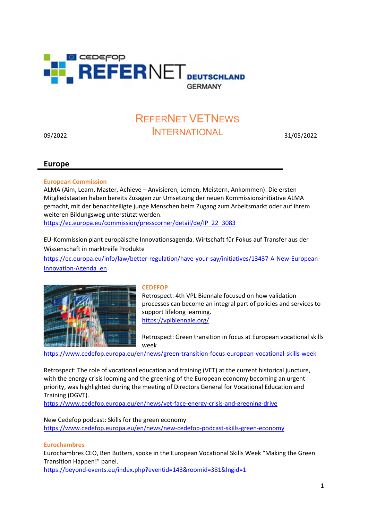

# 09/2022 31/05/2022 INTERNATIONALREFERNET VETNEWS

# Europe

## European Commission

ALMA (Aim, Learn, Master, Achieve – Anvisieren, Lernen, Meistern, Ankommen): Die ersten Mitgliedstaaten haben bereits Zusagen zur Umsetzung der neuen Kommissionsinitiative ALMA gemacht, mit der benachteiligte junge Menschen beim Zugang zum Arbeitsmarkt oder auf ihrem weiteren Bildungsweg unterstützt werden.

https://ec.europa.eu/commission/presscorner/detail/de/IP\_22\_3083

EU-Kommission plant europäische Innovationsagenda. Wirtschaft für Fokus auf Transfer aus der Wissenschaft in marktreife Produkte

https://ec.europa.eu/info/law/better-regulation/have-your-say/initiatives/13437-A-New-European-Innovation-Agenda\_en



## **CEDEFOP**

Retrospect: 4th VPL Biennale focused on how validation processes can become an integral part of policies and services to support lifelong learning. https://vplbiennale.org/

Retrospect: Green transition in focus at European vocational skills week

https://www.cedefop.europa.eu/en/news/green-transition-focus-european-vocational-skills-week

Retrospect: The role of vocational education and training (VET) at the current historical juncture, with the energy crisis looming and the greening of the European economy becoming an urgent priority, was highlighted during the meeting of Directors General for Vocational Education and Training (DGVT).

https://www.cedefop.europa.eu/en/news/vet-face-energy-crisis-and-greening-drive

New Cedefop podcast: Skills for the green economy https://www.cedefop.europa.eu/en/news/new-cedefop-podcast-skills-green-economy

## Eurochambres

Eurochambres CEO, Ben Butters, spoke in the European Vocational Skills Week "Making the Green Transition Happen!" panel.

https://beyond-events.eu/index.php?eventid=143&roomid=381&lngid=1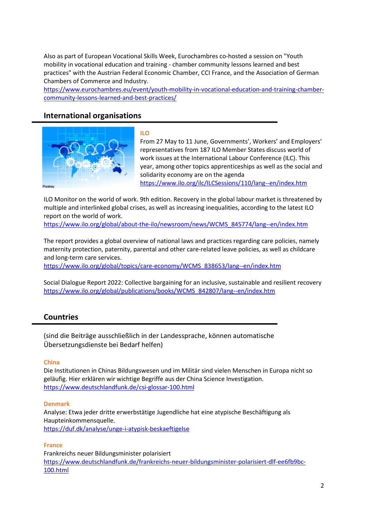Also as part of European Vocational Skills Week, Eurochambres co-hosted a session on "Youth mobility in vocational education and training - chamber community lessons learned and best practices" with the Austrian Federal Economic Chamber, CCI France, and the Association of German Chambers of Commerce and Industry.

https://www.eurochambres.eu/event/youth-mobility-in-vocational-education-and-training-chambercommunity-lessons-learned-and-best-practices/

# International organisations



## ILO

From 27 May to 11 June, Governments', Workers' and Employers' representatives from 187 ILO Member States discuss world of work issues at the International Labour Conference (ILC). This year, among other topics apprenticeships as well as the social and solidarity economy are on the agenda https://www.ilo.org/ilc/ILCSessions/110/lang--en/index.htm

ILO Monitor on the world of work. 9th edition. Recovery in the global labour market is threatened by multiple and interlinked global crises, as well as increasing inequalities, according to the latest ILO report on the world of work.

https://www.ilo.org/global/about-the-ilo/newsroom/news/WCMS\_845774/lang--en/index.htm

The report provides a global overview of national laws and practices regarding care policies, namely maternity protection, paternity, parental and other care-related leave policies, as well as childcare and long-term care services.

https://www.ilo.org/global/topics/care-economy/WCMS\_838653/lang--en/index.htm

Social Dialogue Report 2022: Collective bargaining for an inclusive, sustainable and resilient recovery https://www.ilo.org/global/publications/books/WCMS\_842807/lang--en/index.htm

# Countries

(sind die Beiträge ausschließlich in der Landessprache, können automatische Übersetzungsdienste bei Bedarf helfen)

## China

Die Institutionen in Chinas Bildungswesen und im Militär sind vielen Menschen in Europa nicht so geläufig. Hier erklären wir wichtige Begriffe aus der China Science Investigation. https://www.deutschlandfunk.de/csi-glossar-100.html

## Denmark

Analyse: Etwa jeder dritte erwerbstätige Jugendliche hat eine atypische Beschäftigung als Haupteinkommensquelle. https://duf.dk/analyse/unge-i-atypisk-beskaeftigelse

## France

Frankreichs neuer Bildungsminister polarisiert https://www.deutschlandfunk.de/frankreichs-neuer-bildungsminister-polarisiert-dlf-ee6fb9bc-100.html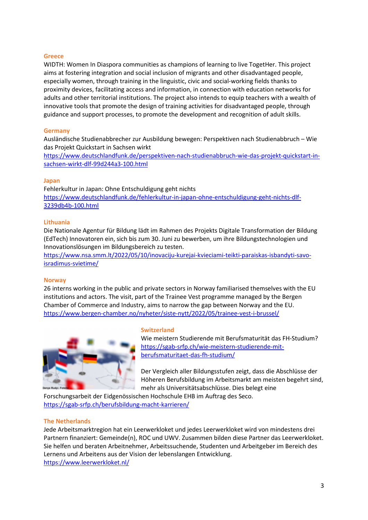## Greece

WIDTH: Women In Diaspora communities as champions of learning to live TogetHer. This project aims at fostering integration and social inclusion of migrants and other disadvantaged people, especially women, through training in the linguistic, civic and social-working fields thanks to proximity devices, facilitating access and information, in connection with education networks for adults and other territorial institutions. The project also intends to equip teachers with a wealth of innovative tools that promote the design of training activities for disadvantaged people, through guidance and support processes, to promote the development and recognition of adult skills.

## **Germany**

Ausländische Studienabbrecher zur Ausbildung bewegen: Perspektiven nach Studienabbruch – Wie das Projekt Quickstart in Sachsen wirkt

https://www.deutschlandfunk.de/perspektiven-nach-studienabbruch-wie-das-projekt-quickstart-insachsen-wirkt-dlf-99d244a3-100.html

#### Japan

Fehlerkultur in Japan: Ohne Entschuldigung geht nichts https://www.deutschlandfunk.de/fehlerkultur-in-japan-ohne-entschuldigung-geht-nichts-dlf-3239db4b-100.html

#### Lithuania

Die Nationale Agentur für Bildung lädt im Rahmen des Projekts Digitale Transformation der Bildung (EdTech) Innovatoren ein, sich bis zum 30. Juni zu bewerben, um ihre Bildungstechnologien und Innovationslösungen im Bildungsbereich zu testen.

https://www.nsa.smm.lt/2022/05/10/inovaciju-kurejai-kvieciami-teikti-paraiskas-isbandyti-savoisradimus-svietime/

#### **Norway**

26 interns working in the public and private sectors in Norway familiarised themselves with the EU institutions and actors. The visit, part of the Trainee Vest programme managed by the Bergen Chamber of Commerce and Industry, aims to narrow the gap between Norway and the EU. https://www.bergen-chamber.no/nyheter/siste-nytt/2022/05/trainee-vest-i-brussel/



#### Switzerland

Wie meistern Studierende mit Berufsmaturität das FH-Studium? https://sgab-srfp.ch/wie-meistern-studierende-mitberufsmaturitaet-das-fh-studium/

Der Vergleich aller Bildungsstufen zeigt, dass die Abschlüsse der Höheren Berufsbildung im Arbeitsmarkt am meisten begehrt sind, mehr als Universitätsabschlüsse. Dies belegt eine

Forschungsarbeit der Eidgenössischen Hochschule EHB im Auftrag des Seco. https://sgab-srfp.ch/berufsbildung-macht-karrieren/

#### The Netherlands

Jede Arbeitsmarktregion hat ein Leerwerkloket und jedes Leerwerkloket wird von mindestens drei Partnern finanziert: Gemeinde(n), ROC und UWV. Zusammen bilden diese Partner das Leerwerkloket. Sie helfen und beraten Arbeitnehmer, Arbeitssuchende, Studenten und Arbeitgeber im Bereich des Lernens und Arbeitens aus der Vision der lebenslangen Entwicklung. https://www.leerwerkloket.nl/